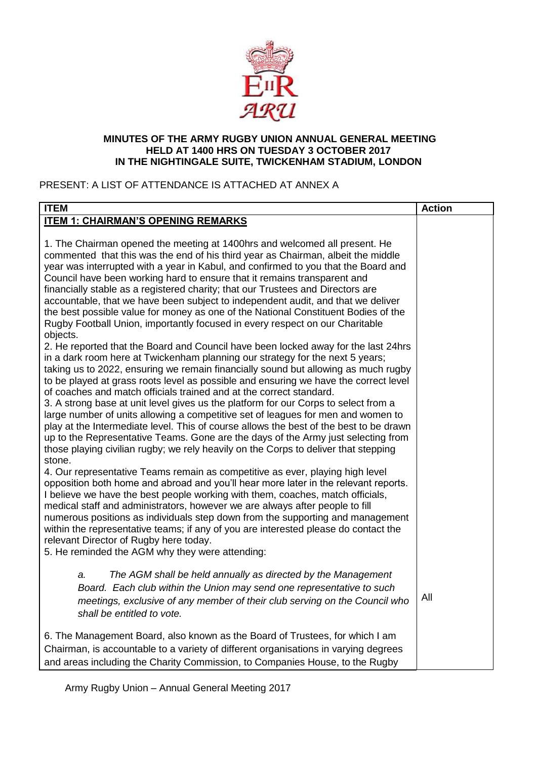

#### **MINUTES OF THE ARMY RUGBY UNION ANNUAL GENERAL MEETING HELD AT 1400 HRS ON TUESDAY 3 OCTOBER 2017 IN THE NIGHTINGALE SUITE, TWICKENHAM STADIUM, LONDON**

# PRESENT: A LIST OF ATTENDANCE IS ATTACHED AT ANNEX A

| <b>ITEM</b>                                                                                                                                                                                                                                                                                                                                                                                                                                                                                                                                                                                                                                                                                                                                                                                                                                                                                                                                                                                                                                                                                                                                                                                                                                                                                                                                                                                                                                                                                                                                                                                                                                                                                                                                                                                                                                                                                                                                                                                                                                                                                                                                                                                      | <b>Action</b> |
|--------------------------------------------------------------------------------------------------------------------------------------------------------------------------------------------------------------------------------------------------------------------------------------------------------------------------------------------------------------------------------------------------------------------------------------------------------------------------------------------------------------------------------------------------------------------------------------------------------------------------------------------------------------------------------------------------------------------------------------------------------------------------------------------------------------------------------------------------------------------------------------------------------------------------------------------------------------------------------------------------------------------------------------------------------------------------------------------------------------------------------------------------------------------------------------------------------------------------------------------------------------------------------------------------------------------------------------------------------------------------------------------------------------------------------------------------------------------------------------------------------------------------------------------------------------------------------------------------------------------------------------------------------------------------------------------------------------------------------------------------------------------------------------------------------------------------------------------------------------------------------------------------------------------------------------------------------------------------------------------------------------------------------------------------------------------------------------------------------------------------------------------------------------------------------------------------|---------------|
| <b>ITEM 1: CHAIRMAN'S OPENING REMARKS</b>                                                                                                                                                                                                                                                                                                                                                                                                                                                                                                                                                                                                                                                                                                                                                                                                                                                                                                                                                                                                                                                                                                                                                                                                                                                                                                                                                                                                                                                                                                                                                                                                                                                                                                                                                                                                                                                                                                                                                                                                                                                                                                                                                        |               |
| 1. The Chairman opened the meeting at 1400hrs and welcomed all present. He<br>commented that this was the end of his third year as Chairman, albeit the middle<br>year was interrupted with a year in Kabul, and confirmed to you that the Board and<br>Council have been working hard to ensure that it remains transparent and<br>financially stable as a registered charity; that our Trustees and Directors are<br>accountable, that we have been subject to independent audit, and that we deliver<br>the best possible value for money as one of the National Constituent Bodies of the<br>Rugby Football Union, importantly focused in every respect on our Charitable<br>objects.<br>2. He reported that the Board and Council have been locked away for the last 24hrs<br>in a dark room here at Twickenham planning our strategy for the next 5 years;<br>taking us to 2022, ensuring we remain financially sound but allowing as much rugby<br>to be played at grass roots level as possible and ensuring we have the correct level<br>of coaches and match officials trained and at the correct standard.<br>3. A strong base at unit level gives us the platform for our Corps to select from a<br>large number of units allowing a competitive set of leagues for men and women to<br>play at the Intermediate level. This of course allows the best of the best to be drawn<br>up to the Representative Teams. Gone are the days of the Army just selecting from<br>those playing civilian rugby; we rely heavily on the Corps to deliver that stepping<br>stone.<br>4. Our representative Teams remain as competitive as ever, playing high level<br>opposition both home and abroad and you'll hear more later in the relevant reports.<br>I believe we have the best people working with them, coaches, match officials,<br>medical staff and administrators, however we are always after people to fill<br>numerous positions as individuals step down from the supporting and management<br>within the representative teams; if any of you are interested please do contact the<br>relevant Director of Rugby here today.<br>5. He reminded the AGM why they were attending: |               |
| The AGM shall be held annually as directed by the Management<br>a.<br>Board. Each club within the Union may send one representative to such<br>meetings, exclusive of any member of their club serving on the Council who<br>shall be entitled to vote.                                                                                                                                                                                                                                                                                                                                                                                                                                                                                                                                                                                                                                                                                                                                                                                                                                                                                                                                                                                                                                                                                                                                                                                                                                                                                                                                                                                                                                                                                                                                                                                                                                                                                                                                                                                                                                                                                                                                          | All           |
| 6. The Management Board, also known as the Board of Trustees, for which I am<br>Chairman, is accountable to a variety of different organisations in varying degrees<br>and areas including the Charity Commission, to Companies House, to the Rugby                                                                                                                                                                                                                                                                                                                                                                                                                                                                                                                                                                                                                                                                                                                                                                                                                                                                                                                                                                                                                                                                                                                                                                                                                                                                                                                                                                                                                                                                                                                                                                                                                                                                                                                                                                                                                                                                                                                                              |               |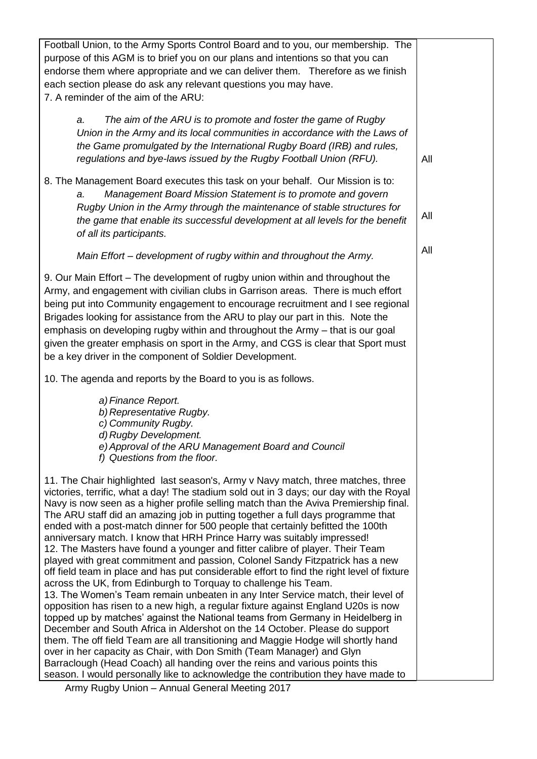Football Union, to the Army Sports Control Board and to you, our membership. The purpose of this AGM is to brief you on our plans and intentions so that you can endorse them where appropriate and we can deliver them. Therefore as we finish each section please do ask any relevant questions you may have. 7. A reminder of the aim of the ARU: *a. The aim of the ARU is to promote and foster the game of Rugby Union in the Army and its local communities in accordance with the Laws of the Game promulgated by the International Rugby Board (IRB) and rules, regulations and bye-laws issued by the Rugby Football Union (RFU).*  8. The Management Board executes this task on your behalf. Our Mission is to: *a. Management Board Mission Statement is to promote and govern Rugby Union in the Army through the maintenance of stable structures for the game that enable its successful development at all levels for the benefit of all its participants. Main Effort – development of rugby within and throughout the Army.* 9. Our Main Effort – The development of rugby union within and throughout the Army, and engagement with civilian clubs in Garrison areas. There is much effort being put into Community engagement to encourage recruitment and I see regional Brigades looking for assistance from the ARU to play our part in this. Note the emphasis on developing rugby within and throughout the Army – that is our goal given the greater emphasis on sport in the Army, and CGS is clear that Sport must be a key driver in the component of Soldier Development. 10. The agenda and reports by the Board to you is as follows. *a)Finance Report. b) Representative Rugby. c) Community Rugby. d) Rugby Development. e)Approval of the ARU Management Board and Council f) Questions from the floor.* 11. The Chair highlighted last season's, Army v Navy match, three matches, three victories, terrific, what a day! The stadium sold out in 3 days; our day with the Royal Navy is now seen as a higher profile selling match than the Aviva Premiership final. The ARU staff did an amazing job in putting together a full days programme that ended with a post-match dinner for 500 people that certainly befitted the 100th anniversary match. I know that HRH Prince Harry was suitably impressed! 12. The Masters have found a younger and fitter calibre of player. Their Team played with great commitment and passion, Colonel Sandy Fitzpatrick has a new off field team in place and has put considerable effort to find the right level of fixture across the UK, from Edinburgh to Torquay to challenge his Team. 13. The Women's Team remain unbeaten in any Inter Service match, their level of opposition has risen to a new high, a regular fixture against England U20s is now topped up by matches' against the National teams from Germany in Heidelberg in December and South Africa in Aldershot on the 14 October. Please do support them. The off field Team are all transitioning and Maggie Hodge will shortly hand over in her capacity as Chair, with Don Smith (Team Manager) and Glyn Barraclough (Head Coach) all handing over the reins and various points this season. I would personally like to acknowledge the contribution they have made to All All All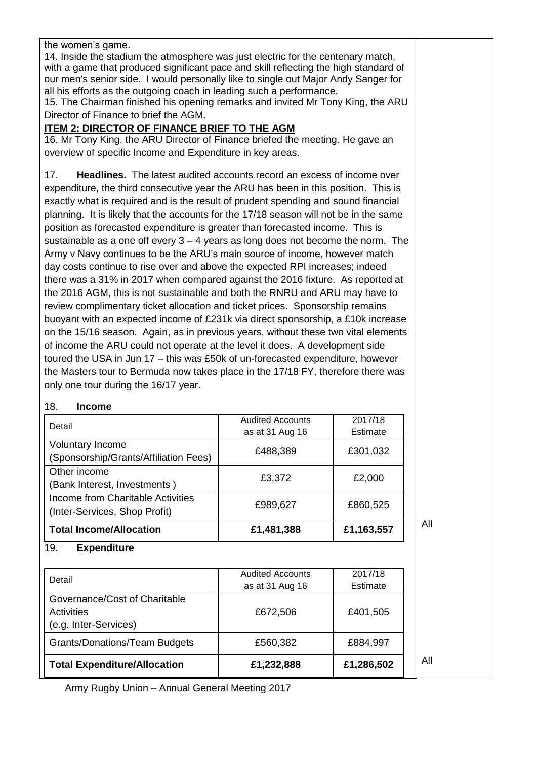the women's game.

14. Inside the stadium the atmosphere was just electric for the centenary match, with a game that produced significant pace and skill reflecting the high standard of our men's senior side. I would personally like to single out Major Andy Sanger for all his efforts as the outgoing coach in leading such a performance.

15. The Chairman finished his opening remarks and invited Mr Tony King, the ARU Director of Finance to brief the AGM.

### **ITEM 2: DIRECTOR OF FINANCE BRIEF TO THE AGM**

16. Mr Tony King, the ARU Director of Finance briefed the meeting. He gave an overview of specific Income and Expenditure in key areas.

17. **Headlines.** The latest audited accounts record an excess of income over expenditure, the third consecutive year the ARU has been in this position. This is exactly what is required and is the result of prudent spending and sound financial planning. It is likely that the accounts for the 17/18 season will not be in the same position as forecasted expenditure is greater than forecasted income. This is sustainable as a one off every  $3 - 4$  years as long does not become the norm. The Army v Navy continues to be the ARU's main source of income, however match day costs continue to rise over and above the expected RPI increases; indeed there was a 31% in 2017 when compared against the 2016 fixture. As reported at the 2016 AGM, this is not sustainable and both the RNRU and ARU may have to review complimentary ticket allocation and ticket prices. Sponsorship remains buoyant with an expected income of £231k via direct sponsorship, a £10k increase on the 15/16 season. Again, as in previous years, without these two vital elements of income the ARU could not operate at the level it does. A development side toured the USA in Jun 17 – this was £50k of un-forecasted expenditure, however the Masters tour to Bermuda now takes place in the 17/18 FY, therefore there was only one tour during the 16/17 year.

### 18. **Income**

| <b>Total Expenditure/Allocation</b>                                | £1,232,888                                 | £1,286,502          | All |
|--------------------------------------------------------------------|--------------------------------------------|---------------------|-----|
| <b>Grants/Donations/Team Budgets</b>                               | £560,382                                   | £884,997            |     |
| (e.g. Inter-Services)                                              |                                            |                     |     |
| Activities                                                         | £672,506                                   | £401,505            |     |
| Governance/Cost of Charitable                                      |                                            |                     |     |
| Detail                                                             | <b>Audited Accounts</b><br>as at 31 Aug 16 | 2017/18<br>Estimate |     |
| <b>Expenditure</b><br>19.                                          |                                            |                     |     |
| <b>Total Income/Allocation</b>                                     | £1,481,388                                 | £1,163,557          | All |
| Income from Charitable Activities<br>(Inter-Services, Shop Profit) | £989,627                                   | £860,525            |     |
| (Bank Interest, Investments)                                       | £3,372                                     | £2,000              |     |
| Other income                                                       |                                            |                     |     |
| (Sponsorship/Grants/Affiliation Fees)                              | £488,389                                   | £301,032            |     |
| <b>Voluntary Income</b>                                            |                                            |                     |     |
| Detail                                                             | <b>Audited Accounts</b><br>as at 31 Aug 16 | 2017/18<br>Estimate |     |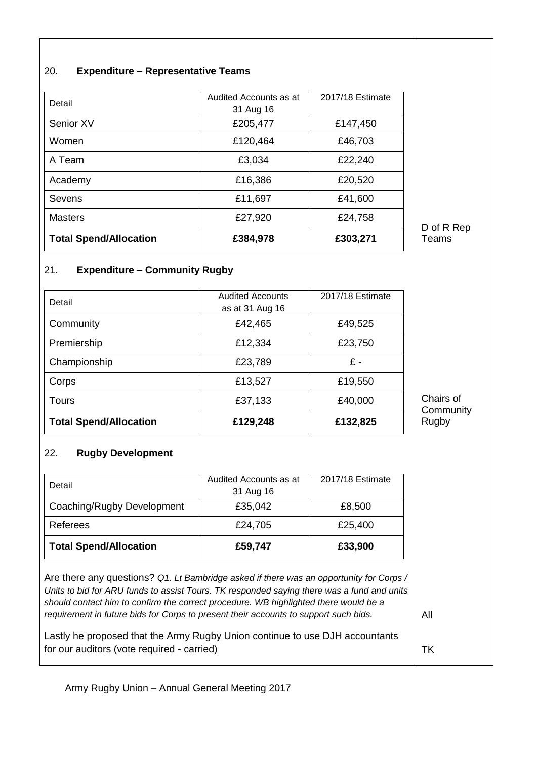| 20. | <b>Expenditure - Representative Teams</b> |  |
|-----|-------------------------------------------|--|
|     |                                           |  |

| Senior XV<br>Women            | £205,477<br>£120,464 | £147,450<br>£46,703 |
|-------------------------------|----------------------|---------------------|
| A Team                        | £3,034               | £22,240             |
| Academy                       | £16,386              | £20,520             |
| Sevens                        | £11,697              | £41,600             |
| <b>Masters</b>                | £27,920              | £24,758             |
| <b>Total Spend/Allocation</b> | £384,978             | £303,271            |

#### 21. **Expenditure – Community Rugby**

| <b>Total Spend/Allocation</b> | £129,248                                   | £132,825         |
|-------------------------------|--------------------------------------------|------------------|
| Tours                         | £37,133                                    | £40,000          |
| Corps                         | £13,527                                    | £19,550          |
| Championship                  | £23,789                                    | £-               |
| Premiership                   | £12,334                                    | £23,750          |
| Community                     | £42,465                                    | £49,525          |
| Detail                        | <b>Audited Accounts</b><br>as at 31 Aug 16 | 2017/18 Estimate |

## 22. **Rugby Development**

| Detail                        | Audited Accounts as at<br>31 Aug 16 | 2017/18 Estimate |
|-------------------------------|-------------------------------------|------------------|
| Coaching/Rugby Development    | £35,042                             | £8,500           |
| Referees                      | £24,705                             | £25,400          |
| <b>Total Spend/Allocation</b> | £59,747                             | £33,900          |

Are there any questions? *Q1. Lt Bambridge asked if there was an opportunity for Corps / Units to bid for ARU funds to assist Tours. TK responded saying there was a fund and units should contact him to confirm the correct procedure. WB highlighted there would be a requirement in future bids for Corps to present their accounts to support such bids.*

All

TK

D of R Rep Teams

Chairs of **Community** Rugby

Lastly he proposed that the Army Rugby Union continue to use DJH accountants for our auditors (vote required - carried)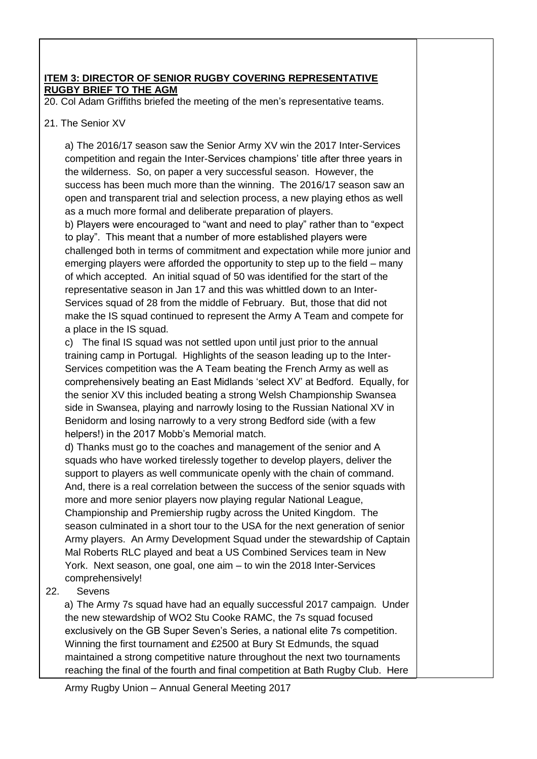### **ITEM 3: DIRECTOR OF SENIOR RUGBY COVERING REPRESENTATIVE RUGBY BRIEF TO THE AGM**

20. Col Adam Griffiths briefed the meeting of the men's representative teams.

### 21. The Senior XV

a) The 2016/17 season saw the Senior Army XV win the 2017 Inter-Services competition and regain the Inter-Services champions' title after three years in the wilderness. So, on paper a very successful season. However, the success has been much more than the winning. The 2016/17 season saw an open and transparent trial and selection process, a new playing ethos as well as a much more formal and deliberate preparation of players.

b) Players were encouraged to "want and need to play" rather than to "expect to play". This meant that a number of more established players were challenged both in terms of commitment and expectation while more junior and emerging players were afforded the opportunity to step up to the field – many of which accepted. An initial squad of 50 was identified for the start of the representative season in Jan 17 and this was whittled down to an Inter-Services squad of 28 from the middle of February. But, those that did not make the IS squad continued to represent the Army A Team and compete for a place in the IS squad.

c) The final IS squad was not settled upon until just prior to the annual training camp in Portugal. Highlights of the season leading up to the Inter-Services competition was the A Team beating the French Army as well as comprehensively beating an East Midlands 'select XV' at Bedford. Equally, for the senior XV this included beating a strong Welsh Championship Swansea side in Swansea, playing and narrowly losing to the Russian National XV in Benidorm and losing narrowly to a very strong Bedford side (with a few helpers!) in the 2017 Mobb's Memorial match.

d) Thanks must go to the coaches and management of the senior and A squads who have worked tirelessly together to develop players, deliver the support to players as well communicate openly with the chain of command. And, there is a real correlation between the success of the senior squads with more and more senior players now playing regular National League, Championship and Premiership rugby across the United Kingdom. The season culminated in a short tour to the USA for the next generation of senior Army players. An Army Development Squad under the stewardship of Captain Mal Roberts RLC played and beat a US Combined Services team in New York. Next season, one goal, one aim – to win the 2018 Inter-Services comprehensively!

22. Sevens

a) The Army 7s squad have had an equally successful 2017 campaign. Under the new stewardship of WO2 Stu Cooke RAMC, the 7s squad focused exclusively on the GB Super Seven's Series, a national elite 7s competition. Winning the first tournament and £2500 at Bury St Edmunds, the squad maintained a strong competitive nature throughout the next two tournaments reaching the final of the fourth and final competition at Bath Rugby Club. Here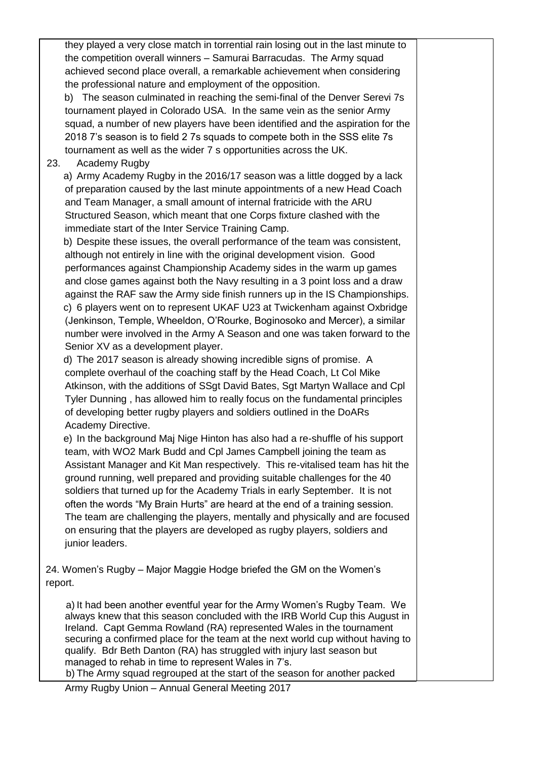they played a very close match in torrential rain losing out in the last minute to the competition overall winners – Samurai Barracudas. The Army squad achieved second place overall, a remarkable achievement when considering the professional nature and employment of the opposition.

b) The season culminated in reaching the semi-final of the Denver Serevi 7s tournament played in Colorado USA. In the same vein as the senior Army squad, a number of new players have been identified and the aspiration for the 2018 7's season is to field 2 7s squads to compete both in the SSS elite 7s tournament as well as the wider 7 s opportunities across the UK.

#### 23. Academy Rugby

a) Army Academy Rugby in the 2016/17 season was a little dogged by a lack of preparation caused by the last minute appointments of a new Head Coach and Team Manager, a small amount of internal fratricide with the ARU Structured Season, which meant that one Corps fixture clashed with the immediate start of the Inter Service Training Camp.

b) Despite these issues, the overall performance of the team was consistent, although not entirely in line with the original development vision. Good performances against Championship Academy sides in the warm up games and close games against both the Navy resulting in a 3 point loss and a draw against the RAF saw the Army side finish runners up in the IS Championships. c) 6 players went on to represent UKAF U23 at Twickenham against Oxbridge (Jenkinson, Temple, Wheeldon, O'Rourke, Boginosoko and Mercer), a similar number were involved in the Army A Season and one was taken forward to the Senior XV as a development player.

d) The 2017 season is already showing incredible signs of promise. A complete overhaul of the coaching staff by the Head Coach, Lt Col Mike Atkinson, with the additions of SSgt David Bates, Sgt Martyn Wallace and Cpl Tyler Dunning , has allowed him to really focus on the fundamental principles of developing better rugby players and soldiers outlined in the DoARs Academy Directive.

e) In the background Maj Nige Hinton has also had a re-shuffle of his support team, with WO2 Mark Budd and Cpl James Campbell joining the team as Assistant Manager and Kit Man respectively. This re-vitalised team has hit the ground running, well prepared and providing suitable challenges for the 40 soldiers that turned up for the Academy Trials in early September. It is not often the words "My Brain Hurts" are heard at the end of a training session. The team are challenging the players, mentally and physically and are focused on ensuring that the players are developed as rugby players, soldiers and junior leaders.

24. Women's Rugby – Major Maggie Hodge briefed the GM on the Women's report.

a) It had been another eventful year for the Army Women's Rugby Team. We always knew that this season concluded with the IRB World Cup this August in Ireland. Capt Gemma Rowland (RA) represented Wales in the tournament securing a confirmed place for the team at the next world cup without having to qualify. Bdr Beth Danton (RA) has struggled with injury last season but managed to rehab in time to represent Wales in 7's. b) The Army squad regrouped at the start of the season for another packed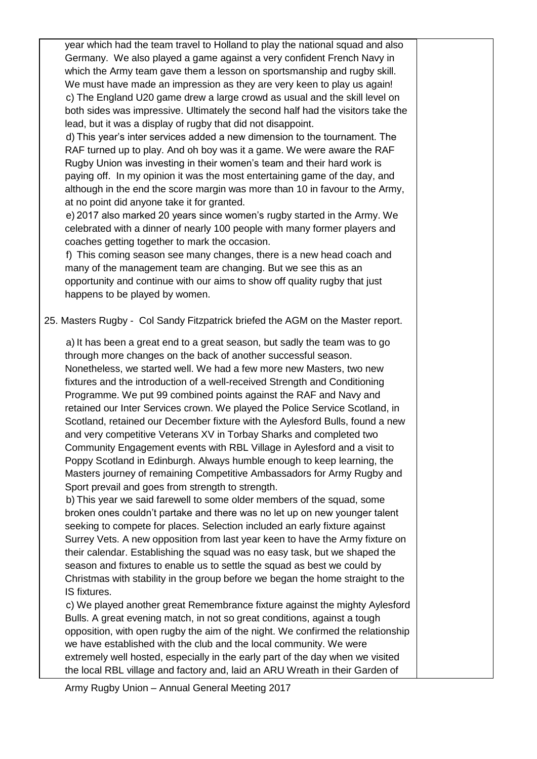year which had the team travel to Holland to play the national squad and also Germany. We also played a game against a very confident French Navy in which the Army team gave them a lesson on sportsmanship and rugby skill. We must have made an impression as they are very keen to play us again! c) The England U20 game drew a large crowd as usual and the skill level on both sides was impressive. Ultimately the second half had the visitors take the lead, but it was a display of rugby that did not disappoint.

d) This year's inter services added a new dimension to the tournament. The RAF turned up to play. And oh boy was it a game. We were aware the RAF Rugby Union was investing in their women's team and their hard work is paying off. In my opinion it was the most entertaining game of the day, and although in the end the score margin was more than 10 in favour to the Army, at no point did anyone take it for granted.

e) 2017 also marked 20 years since women's rugby started in the Army. We celebrated with a dinner of nearly 100 people with many former players and coaches getting together to mark the occasion.

f) This coming season see many changes, there is a new head coach and many of the management team are changing. But we see this as an opportunity and continue with our aims to show off quality rugby that just happens to be played by women.

25. Masters Rugby - Col Sandy Fitzpatrick briefed the AGM on the Master report.

a) It has been a great end to a great season, but sadly the team was to go through more changes on the back of another successful season. Nonetheless, we started well. We had a few more new Masters, two new fixtures and the introduction of a well-received Strength and Conditioning Programme. We put 99 combined points against the RAF and Navy and retained our Inter Services crown. We played the Police Service Scotland, in Scotland, retained our December fixture with the Aylesford Bulls, found a new and very competitive Veterans XV in Torbay Sharks and completed two Community Engagement events with RBL Village in Aylesford and a visit to Poppy Scotland in Edinburgh. Always humble enough to keep learning, the Masters journey of remaining Competitive Ambassadors for Army Rugby and Sport prevail and goes from strength to strength.

b) This year we said farewell to some older members of the squad, some broken ones couldn't partake and there was no let up on new younger talent seeking to compete for places. Selection included an early fixture against Surrey Vets. A new opposition from last year keen to have the Army fixture on their calendar. Establishing the squad was no easy task, but we shaped the season and fixtures to enable us to settle the squad as best we could by Christmas with stability in the group before we began the home straight to the IS fixtures.

c) We played another great Remembrance fixture against the mighty Aylesford Bulls. A great evening match, in not so great conditions, against a tough opposition, with open rugby the aim of the night. We confirmed the relationship we have established with the club and the local community. We were extremely well hosted, especially in the early part of the day when we visited the local RBL village and factory and, laid an ARU Wreath in their Garden of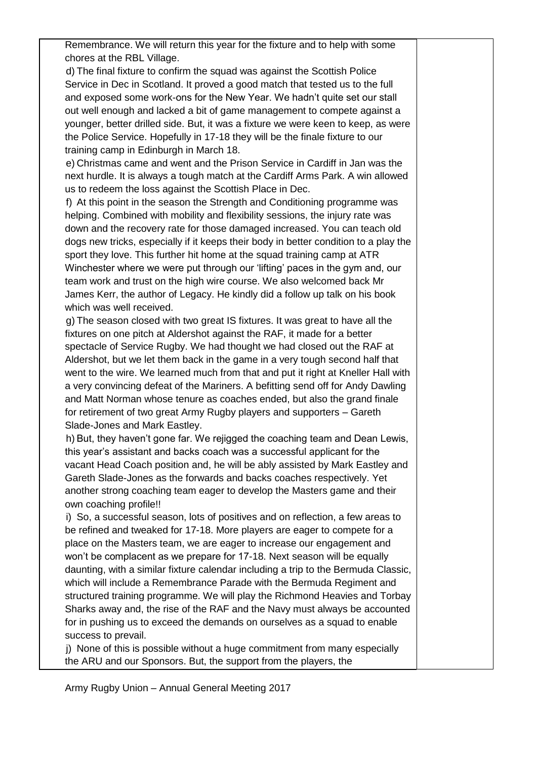Remembrance. We will return this year for the fixture and to help with some chores at the RBL Village.

d) The final fixture to confirm the squad was against the Scottish Police Service in Dec in Scotland. It proved a good match that tested us to the full and exposed some work-ons for the New Year. We hadn't quite set our stall out well enough and lacked a bit of game management to compete against a younger, better drilled side. But, it was a fixture we were keen to keep, as were the Police Service. Hopefully in 17-18 they will be the finale fixture to our training camp in Edinburgh in March 18.

e) Christmas came and went and the Prison Service in Cardiff in Jan was the next hurdle. It is always a tough match at the Cardiff Arms Park. A win allowed us to redeem the loss against the Scottish Place in Dec.

f) At this point in the season the Strength and Conditioning programme was helping. Combined with mobility and flexibility sessions, the injury rate was down and the recovery rate for those damaged increased. You can teach old dogs new tricks, especially if it keeps their body in better condition to a play the sport they love. This further hit home at the squad training camp at ATR Winchester where we were put through our 'lifting' paces in the gym and, our team work and trust on the high wire course. We also welcomed back Mr James Kerr, the author of Legacy. He kindly did a follow up talk on his book which was well received.

g) The season closed with two great IS fixtures. It was great to have all the fixtures on one pitch at Aldershot against the RAF, it made for a better spectacle of Service Rugby. We had thought we had closed out the RAF at Aldershot, but we let them back in the game in a very tough second half that went to the wire. We learned much from that and put it right at Kneller Hall with a very convincing defeat of the Mariners. A befitting send off for Andy Dawling and Matt Norman whose tenure as coaches ended, but also the grand finale for retirement of two great Army Rugby players and supporters – Gareth Slade-Jones and Mark Eastley.

h) But, they haven't gone far. We rejigged the coaching team and Dean Lewis, this year's assistant and backs coach was a successful applicant for the vacant Head Coach position and, he will be ably assisted by Mark Eastley and Gareth Slade-Jones as the forwards and backs coaches respectively. Yet another strong coaching team eager to develop the Masters game and their own coaching profile!!

i) So, a successful season, lots of positives and on reflection, a few areas to be refined and tweaked for 17-18. More players are eager to compete for a place on the Masters team, we are eager to increase our engagement and won't be complacent as we prepare for 17-18. Next season will be equally daunting, with a similar fixture calendar including a trip to the Bermuda Classic, which will include a Remembrance Parade with the Bermuda Regiment and structured training programme. We will play the Richmond Heavies and Torbay Sharks away and, the rise of the RAF and the Navy must always be accounted for in pushing us to exceed the demands on ourselves as a squad to enable success to prevail.

j) None of this is possible without a huge commitment from many especially the ARU and our Sponsors. But, the support from the players, the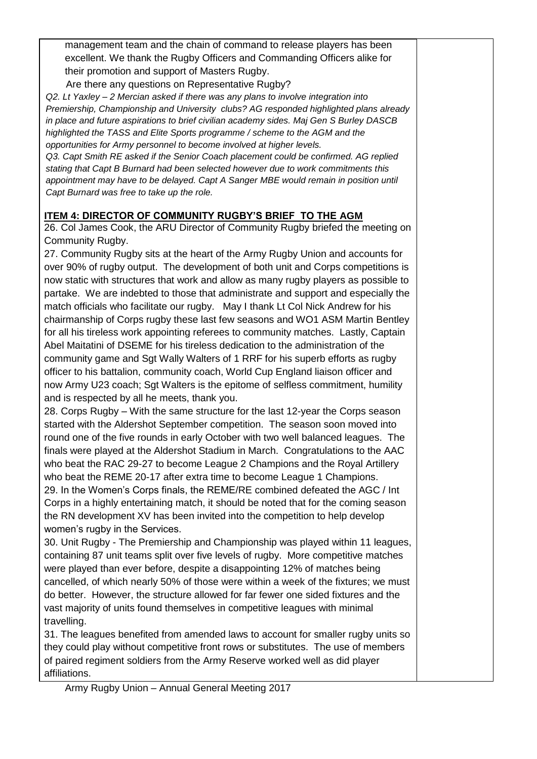management team and the chain of command to release players has been excellent. We thank the Rugby Officers and Commanding Officers alike for their promotion and support of Masters Rugby.

Are there any questions on Representative Rugby?

*Q2. Lt Yaxley – 2 Mercian asked if there was any plans to involve integration into Premiership, Championship and University clubs? AG responded highlighted plans already in place and future aspirations to brief civilian academy sides. Maj Gen S Burley DASCB highlighted the TASS and Elite Sports programme / scheme to the AGM and the opportunities for Army personnel to become involved at higher levels.* 

*Q3. Capt Smith RE asked if the Senior Coach placement could be confirmed. AG replied stating that Capt B Burnard had been selected however due to work commitments this*  appointment may have to be delayed. Capt A Sanger MBE would remain in position until *Capt Burnard was free to take up the role.* 

## **ITEM 4: DIRECTOR OF COMMUNITY RUGBY'S BRIEF TO THE AGM**

26. Col James Cook, the ARU Director of Community Rugby briefed the meeting on Community Rugby.

27. Community Rugby sits at the heart of the Army Rugby Union and accounts for over 90% of rugby output. The development of both unit and Corps competitions is now static with structures that work and allow as many rugby players as possible to partake. We are indebted to those that administrate and support and especially the match officials who facilitate our rugby. May I thank Lt Col Nick Andrew for his chairmanship of Corps rugby these last few seasons and WO1 ASM Martin Bentley for all his tireless work appointing referees to community matches. Lastly, Captain Abel Maitatini of DSEME for his tireless dedication to the administration of the community game and Sgt Wally Walters of 1 RRF for his superb efforts as rugby officer to his battalion, community coach, World Cup England liaison officer and now Army U23 coach; Sgt Walters is the epitome of selfless commitment, humility and is respected by all he meets, thank you.

28. Corps Rugby – With the same structure for the last 12-year the Corps season started with the Aldershot September competition. The season soon moved into round one of the five rounds in early October with two well balanced leagues. The finals were played at the Aldershot Stadium in March. Congratulations to the AAC who beat the RAC 29-27 to become League 2 Champions and the Royal Artillery who beat the REME 20-17 after extra time to become League 1 Champions. 29. In the Women's Corps finals, the REME/RE combined defeated the AGC / Int Corps in a highly entertaining match, it should be noted that for the coming season the RN development XV has been invited into the competition to help develop women's rugby in the Services.

30. Unit Rugby - The Premiership and Championship was played within 11 leagues, containing 87 unit teams split over five levels of rugby. More competitive matches were played than ever before, despite a disappointing 12% of matches being cancelled, of which nearly 50% of those were within a week of the fixtures; we must do better. However, the structure allowed for far fewer one sided fixtures and the vast majority of units found themselves in competitive leagues with minimal travelling.

31. The leagues benefited from amended laws to account for smaller rugby units so they could play without competitive front rows or substitutes. The use of members of paired regiment soldiers from the Army Reserve worked well as did player affiliations.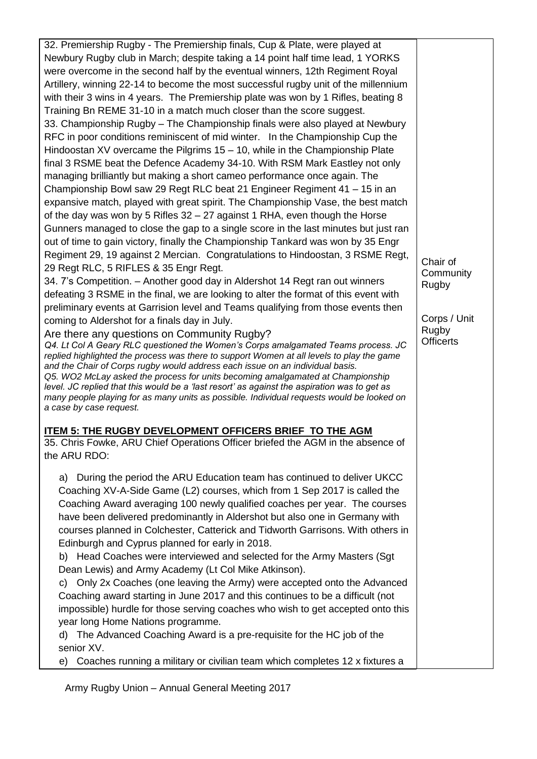32. Premiership Rugby - The Premiership finals, Cup & Plate, were played at Newbury Rugby club in March; despite taking a 14 point half time lead, 1 YORKS were overcome in the second half by the eventual winners, 12th Regiment Royal Artillery, winning 22-14 to become the most successful rugby unit of the millennium with their 3 wins in 4 years. The Premiership plate was won by 1 Rifles, beating 8 Training Bn REME 31-10 in a match much closer than the score suggest. 33. Championship Rugby – The Championship finals were also played at Newbury RFC in poor conditions reminiscent of mid winter. In the Championship Cup the Hindoostan XV overcame the Pilgrims 15 – 10, while in the Championship Plate final 3 RSME beat the Defence Academy 34-10. With RSM Mark Eastley not only managing brilliantly but making a short cameo performance once again. The Championship Bowl saw 29 Regt RLC beat 21 Engineer Regiment 41 – 15 in an expansive match, played with great spirit. The Championship Vase, the best match of the day was won by 5 Rifles 32 – 27 against 1 RHA, even though the Horse Gunners managed to close the gap to a single score in the last minutes but just ran out of time to gain victory, finally the Championship Tankard was won by 35 Engr Regiment 29, 19 against 2 Mercian. Congratulations to Hindoostan, 3 RSME Regt, 29 Regt RLC, 5 RIFLES & 35 Engr Regt.

34. 7's Competition. – Another good day in Aldershot 14 Regt ran out winners defeating 3 RSME in the final, we are looking to alter the format of this event with preliminary events at Garrision level and Teams qualifying from those events then coming to Aldershot for a finals day in July.

Are there any questions on Community Rugby?

*Q4. Lt Col A Geary RLC questioned the Women's Corps amalgamated Teams process. JC*  replied highlighted the process was there to support Women at all levels to play the game *and the Chair of Corps rugby would address each issue on an individual basis. Q5. WO2 McLay asked the process for units becoming amalgamated at Championship level. JC replied that this would be a 'last resort' as against the aspiration was to get as many people playing for as many units as possible. Individual requests would be looked on a case by case request.*

### **ITEM 5: THE RUGBY DEVELOPMENT OFFICERS BRIEF TO THE AGM**

35. Chris Fowke, ARU Chief Operations Officer briefed the AGM in the absence of the ARU RDO:

a) During the period the ARU Education team has continued to deliver UKCC Coaching XV-A-Side Game (L2) courses, which from 1 Sep 2017 is called the Coaching Award averaging 100 newly qualified coaches per year. The courses have been delivered predominantly in Aldershot but also one in Germany with courses planned in Colchester, Catterick and Tidworth Garrisons. With others in Edinburgh and Cyprus planned for early in 2018.

b) Head Coaches were interviewed and selected for the Army Masters (Sgt Dean Lewis) and Army Academy (Lt Col Mike Atkinson).

c) Only 2x Coaches (one leaving the Army) were accepted onto the Advanced Coaching award starting in June 2017 and this continues to be a difficult (not impossible) hurdle for those serving coaches who wish to get accepted onto this year long Home Nations programme.

d) The Advanced Coaching Award is a pre-requisite for the HC job of the senior XV.

e) Coaches running a military or civilian team which completes 12 x fixtures a

Army Rugby Union – Annual General Meeting 2017

Chair of **Community** Rugby

Corps / Unit Rugby **Officerts**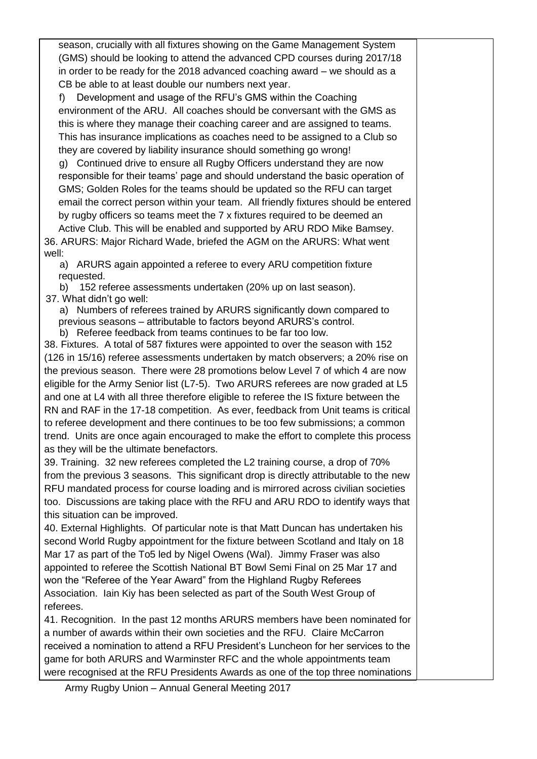season, crucially with all fixtures showing on the Game Management System (GMS) should be looking to attend the advanced CPD courses during 2017/18 in order to be ready for the 2018 advanced coaching award – we should as a CB be able to at least double our numbers next year.

f) Development and usage of the RFU's GMS within the Coaching environment of the ARU. All coaches should be conversant with the GMS as this is where they manage their coaching career and are assigned to teams. This has insurance implications as coaches need to be assigned to a Club so they are covered by liability insurance should something go wrong!

g) Continued drive to ensure all Rugby Officers understand they are now responsible for their teams' page and should understand the basic operation of GMS; Golden Roles for the teams should be updated so the RFU can target email the correct person within your team. All friendly fixtures should be entered by rugby officers so teams meet the 7 x fixtures required to be deemed an

Active Club. This will be enabled and supported by ARU RDO Mike Bamsey. 36. ARURS: Major Richard Wade, briefed the AGM on the ARURS: What went well:

a) ARURS again appointed a referee to every ARU competition fixture requested.

b) 152 referee assessments undertaken (20% up on last season). 37. What didn't go well:

a) Numbers of referees trained by ARURS significantly down compared to previous seasons – attributable to factors beyond ARURS's control.

b) Referee feedback from teams continues to be far too low.

38. Fixtures. A total of 587 fixtures were appointed to over the season with 152 (126 in 15/16) referee assessments undertaken by match observers; a 20% rise on the previous season. There were 28 promotions below Level 7 of which 4 are now eligible for the Army Senior list (L7-5). Two ARURS referees are now graded at L5 and one at L4 with all three therefore eligible to referee the IS fixture between the RN and RAF in the 17-18 competition. As ever, feedback from Unit teams is critical to referee development and there continues to be too few submissions; a common trend. Units are once again encouraged to make the effort to complete this process as they will be the ultimate benefactors.

39. Training. 32 new referees completed the L2 training course, a drop of 70% from the previous 3 seasons. This significant drop is directly attributable to the new RFU mandated process for course loading and is mirrored across civilian societies too. Discussions are taking place with the RFU and ARU RDO to identify ways that this situation can be improved.

40. External Highlights. Of particular note is that Matt Duncan has undertaken his second World Rugby appointment for the fixture between Scotland and Italy on 18 Mar 17 as part of the To5 led by Nigel Owens (Wal). Jimmy Fraser was also appointed to referee the Scottish National BT Bowl Semi Final on 25 Mar 17 and won the "Referee of the Year Award" from the Highland Rugby Referees Association. Iain Kiy has been selected as part of the South West Group of referees.

41. Recognition. In the past 12 months ARURS members have been nominated for a number of awards within their own societies and the RFU. Claire McCarron received a nomination to attend a RFU President's Luncheon for her services to the game for both ARURS and Warminster RFC and the whole appointments team were recognised at the RFU Presidents Awards as one of the top three nominations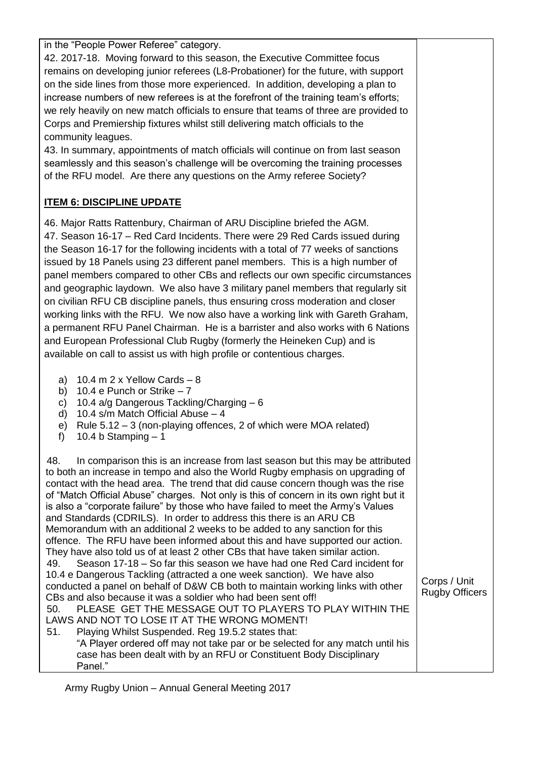in the "People Power Referee" category.

42. 2017-18. Moving forward to this season, the Executive Committee focus remains on developing junior referees (L8-Probationer) for the future, with support on the side lines from those more experienced. In addition, developing a plan to increase numbers of new referees is at the forefront of the training team's efforts; we rely heavily on new match officials to ensure that teams of three are provided to Corps and Premiership fixtures whilst still delivering match officials to the community leagues.

43. In summary, appointments of match officials will continue on from last season seamlessly and this season's challenge will be overcoming the training processes of the RFU model. Are there any questions on the Army referee Society?

# **ITEM 6: DISCIPLINE UPDATE**

46. Major Ratts Rattenbury, Chairman of ARU Discipline briefed the AGM. 47. Season 16-17 – Red Card Incidents. There were 29 Red Cards issued during the Season 16-17 for the following incidents with a total of 77 weeks of sanctions issued by 18 Panels using 23 different panel members. This is a high number of panel members compared to other CBs and reflects our own specific circumstances and geographic laydown. We also have 3 military panel members that regularly sit on civilian RFU CB discipline panels, thus ensuring cross moderation and closer working links with the RFU. We now also have a working link with Gareth Graham, a permanent RFU Panel Chairman. He is a barrister and also works with 6 Nations and European Professional Club Rugby (formerly the Heineken Cup) and is available on call to assist us with high profile or contentious charges.

- a)  $10.4$  m  $2 \times$  Yellow Cards  $-8$
- b) 10.4 e Punch or Strike  $-7$
- c) 10.4 a/g Dangerous Tackling/Charging 6
- d) 10.4 s/m Match Official Abuse 4
- e) Rule 5.12 3 (non-playing offences, 2 of which were MOA related)
- f)  $10.4 b$  Stamping  $-1$

Panel."

48. In comparison this is an increase from last season but this may be attributed to both an increase in tempo and also the World Rugby emphasis on upgrading of contact with the head area. The trend that did cause concern though was the rise of "Match Official Abuse" charges. Not only is this of concern in its own right but it is also a "corporate failure" by those who have failed to meet the Army's Values and Standards (CDRILS). In order to address this there is an ARU CB Memorandum with an additional 2 weeks to be added to any sanction for this offence. The RFU have been informed about this and have supported our action. They have also told us of at least 2 other CBs that have taken similar action. 49. Season 17-18 – So far this season we have had one Red Card incident for 10.4 e Dangerous Tackling (attracted a one week sanction). We have also conducted a panel on behalf of D&W CB both to maintain working links with other CBs and also because it was a soldier who had been sent off! 50. PLEASE GET THE MESSAGE OUT TO PLAYERS TO PLAY WITHIN THE LAWS AND NOT TO LOSE IT AT THE WRONG MOMENT! 51. Playing Whilst Suspended. Reg 19.5.2 states that: "A Player ordered off may not take par or be selected for any match until his case has been dealt with by an RFU or Constituent Body Disciplinary Corps / Unit Rugby Officers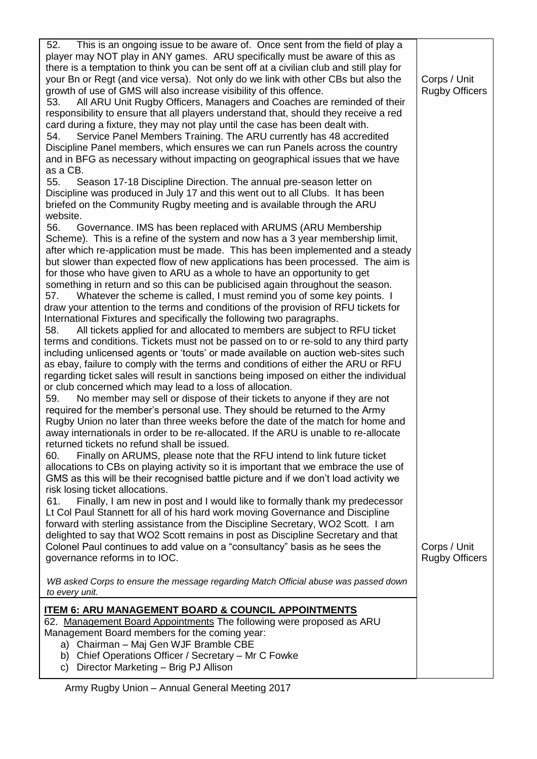| player may NOT play in ANY games. ARU specifically must be aware of this as<br>there is a temptation to think you can be sent off at a civilian club and still play for<br>your Bn or Regt (and vice versa). Not only do we link with other CBs but also the<br>Corps / Unit<br>growth of use of GMS will also increase visibility of this offence.<br><b>Rugby Officers</b><br>All ARU Unit Rugby Officers, Managers and Coaches are reminded of their<br>53.<br>responsibility to ensure that all players understand that, should they receive a red<br>card during a fixture, they may not play until the case has been dealt with.<br>Service Panel Members Training. The ARU currently has 48 accredited<br>54.<br>Discipline Panel members, which ensures we can run Panels across the country<br>and in BFG as necessary without impacting on geographical issues that we have<br>as a CB.<br>Season 17-18 Discipline Direction. The annual pre-season letter on<br>55. |
|--------------------------------------------------------------------------------------------------------------------------------------------------------------------------------------------------------------------------------------------------------------------------------------------------------------------------------------------------------------------------------------------------------------------------------------------------------------------------------------------------------------------------------------------------------------------------------------------------------------------------------------------------------------------------------------------------------------------------------------------------------------------------------------------------------------------------------------------------------------------------------------------------------------------------------------------------------------------------------|
|                                                                                                                                                                                                                                                                                                                                                                                                                                                                                                                                                                                                                                                                                                                                                                                                                                                                                                                                                                                |
|                                                                                                                                                                                                                                                                                                                                                                                                                                                                                                                                                                                                                                                                                                                                                                                                                                                                                                                                                                                |
|                                                                                                                                                                                                                                                                                                                                                                                                                                                                                                                                                                                                                                                                                                                                                                                                                                                                                                                                                                                |
|                                                                                                                                                                                                                                                                                                                                                                                                                                                                                                                                                                                                                                                                                                                                                                                                                                                                                                                                                                                |
|                                                                                                                                                                                                                                                                                                                                                                                                                                                                                                                                                                                                                                                                                                                                                                                                                                                                                                                                                                                |
|                                                                                                                                                                                                                                                                                                                                                                                                                                                                                                                                                                                                                                                                                                                                                                                                                                                                                                                                                                                |
|                                                                                                                                                                                                                                                                                                                                                                                                                                                                                                                                                                                                                                                                                                                                                                                                                                                                                                                                                                                |
|                                                                                                                                                                                                                                                                                                                                                                                                                                                                                                                                                                                                                                                                                                                                                                                                                                                                                                                                                                                |
|                                                                                                                                                                                                                                                                                                                                                                                                                                                                                                                                                                                                                                                                                                                                                                                                                                                                                                                                                                                |
|                                                                                                                                                                                                                                                                                                                                                                                                                                                                                                                                                                                                                                                                                                                                                                                                                                                                                                                                                                                |
|                                                                                                                                                                                                                                                                                                                                                                                                                                                                                                                                                                                                                                                                                                                                                                                                                                                                                                                                                                                |
|                                                                                                                                                                                                                                                                                                                                                                                                                                                                                                                                                                                                                                                                                                                                                                                                                                                                                                                                                                                |
|                                                                                                                                                                                                                                                                                                                                                                                                                                                                                                                                                                                                                                                                                                                                                                                                                                                                                                                                                                                |
| Discipline was produced in July 17 and this went out to all Clubs. It has been                                                                                                                                                                                                                                                                                                                                                                                                                                                                                                                                                                                                                                                                                                                                                                                                                                                                                                 |
| briefed on the Community Rugby meeting and is available through the ARU                                                                                                                                                                                                                                                                                                                                                                                                                                                                                                                                                                                                                                                                                                                                                                                                                                                                                                        |
| website.                                                                                                                                                                                                                                                                                                                                                                                                                                                                                                                                                                                                                                                                                                                                                                                                                                                                                                                                                                       |
| Governance. IMS has been replaced with ARUMS (ARU Membership<br>56.                                                                                                                                                                                                                                                                                                                                                                                                                                                                                                                                                                                                                                                                                                                                                                                                                                                                                                            |
| Scheme). This is a refine of the system and now has a 3 year membership limit,                                                                                                                                                                                                                                                                                                                                                                                                                                                                                                                                                                                                                                                                                                                                                                                                                                                                                                 |
| after which re-application must be made. This has been implemented and a steady                                                                                                                                                                                                                                                                                                                                                                                                                                                                                                                                                                                                                                                                                                                                                                                                                                                                                                |
| but slower than expected flow of new applications has been processed. The aim is                                                                                                                                                                                                                                                                                                                                                                                                                                                                                                                                                                                                                                                                                                                                                                                                                                                                                               |
| for those who have given to ARU as a whole to have an opportunity to get                                                                                                                                                                                                                                                                                                                                                                                                                                                                                                                                                                                                                                                                                                                                                                                                                                                                                                       |
| something in return and so this can be publicised again throughout the season.                                                                                                                                                                                                                                                                                                                                                                                                                                                                                                                                                                                                                                                                                                                                                                                                                                                                                                 |
| Whatever the scheme is called, I must remind you of some key points. I<br>57.                                                                                                                                                                                                                                                                                                                                                                                                                                                                                                                                                                                                                                                                                                                                                                                                                                                                                                  |
| draw your attention to the terms and conditions of the provision of RFU tickets for                                                                                                                                                                                                                                                                                                                                                                                                                                                                                                                                                                                                                                                                                                                                                                                                                                                                                            |
| International Fixtures and specifically the following two paragraphs.                                                                                                                                                                                                                                                                                                                                                                                                                                                                                                                                                                                                                                                                                                                                                                                                                                                                                                          |
| All tickets applied for and allocated to members are subject to RFU ticket<br>58.                                                                                                                                                                                                                                                                                                                                                                                                                                                                                                                                                                                                                                                                                                                                                                                                                                                                                              |
| terms and conditions. Tickets must not be passed on to or re-sold to any third party                                                                                                                                                                                                                                                                                                                                                                                                                                                                                                                                                                                                                                                                                                                                                                                                                                                                                           |
| including unlicensed agents or 'touts' or made available on auction web-sites such                                                                                                                                                                                                                                                                                                                                                                                                                                                                                                                                                                                                                                                                                                                                                                                                                                                                                             |
| as ebay, failure to comply with the terms and conditions of either the ARU or RFU                                                                                                                                                                                                                                                                                                                                                                                                                                                                                                                                                                                                                                                                                                                                                                                                                                                                                              |
| regarding ticket sales will result in sanctions being imposed on either the individual                                                                                                                                                                                                                                                                                                                                                                                                                                                                                                                                                                                                                                                                                                                                                                                                                                                                                         |
| or club concerned which may lead to a loss of allocation.                                                                                                                                                                                                                                                                                                                                                                                                                                                                                                                                                                                                                                                                                                                                                                                                                                                                                                                      |
| No member may sell or dispose of their tickets to anyone if they are not<br>59.                                                                                                                                                                                                                                                                                                                                                                                                                                                                                                                                                                                                                                                                                                                                                                                                                                                                                                |
| required for the member's personal use. They should be returned to the Army                                                                                                                                                                                                                                                                                                                                                                                                                                                                                                                                                                                                                                                                                                                                                                                                                                                                                                    |
| Rugby Union no later than three weeks before the date of the match for home and                                                                                                                                                                                                                                                                                                                                                                                                                                                                                                                                                                                                                                                                                                                                                                                                                                                                                                |
| away internationals in order to be re-allocated. If the ARU is unable to re-allocate                                                                                                                                                                                                                                                                                                                                                                                                                                                                                                                                                                                                                                                                                                                                                                                                                                                                                           |
| returned tickets no refund shall be issued.                                                                                                                                                                                                                                                                                                                                                                                                                                                                                                                                                                                                                                                                                                                                                                                                                                                                                                                                    |
| Finally on ARUMS, please note that the RFU intend to link future ticket<br>60.                                                                                                                                                                                                                                                                                                                                                                                                                                                                                                                                                                                                                                                                                                                                                                                                                                                                                                 |
|                                                                                                                                                                                                                                                                                                                                                                                                                                                                                                                                                                                                                                                                                                                                                                                                                                                                                                                                                                                |
| allocations to CBs on playing activity so it is important that we embrace the use of                                                                                                                                                                                                                                                                                                                                                                                                                                                                                                                                                                                                                                                                                                                                                                                                                                                                                           |
| GMS as this will be their recognised battle picture and if we don't load activity we                                                                                                                                                                                                                                                                                                                                                                                                                                                                                                                                                                                                                                                                                                                                                                                                                                                                                           |
| risk losing ticket allocations.                                                                                                                                                                                                                                                                                                                                                                                                                                                                                                                                                                                                                                                                                                                                                                                                                                                                                                                                                |
| Finally, I am new in post and I would like to formally thank my predecessor<br>61.                                                                                                                                                                                                                                                                                                                                                                                                                                                                                                                                                                                                                                                                                                                                                                                                                                                                                             |
| Lt Col Paul Stannett for all of his hard work moving Governance and Discipline                                                                                                                                                                                                                                                                                                                                                                                                                                                                                                                                                                                                                                                                                                                                                                                                                                                                                                 |
| forward with sterling assistance from the Discipline Secretary, WO2 Scott. I am                                                                                                                                                                                                                                                                                                                                                                                                                                                                                                                                                                                                                                                                                                                                                                                                                                                                                                |
| delighted to say that WO2 Scott remains in post as Discipline Secretary and that                                                                                                                                                                                                                                                                                                                                                                                                                                                                                                                                                                                                                                                                                                                                                                                                                                                                                               |
| Colonel Paul continues to add value on a "consultancy" basis as he sees the<br>Corps / Unit                                                                                                                                                                                                                                                                                                                                                                                                                                                                                                                                                                                                                                                                                                                                                                                                                                                                                    |
| governance reforms in to IOC.<br><b>Rugby Officers</b>                                                                                                                                                                                                                                                                                                                                                                                                                                                                                                                                                                                                                                                                                                                                                                                                                                                                                                                         |
|                                                                                                                                                                                                                                                                                                                                                                                                                                                                                                                                                                                                                                                                                                                                                                                                                                                                                                                                                                                |
| WB asked Corps to ensure the message regarding Match Official abuse was passed down                                                                                                                                                                                                                                                                                                                                                                                                                                                                                                                                                                                                                                                                                                                                                                                                                                                                                            |
| to every unit.                                                                                                                                                                                                                                                                                                                                                                                                                                                                                                                                                                                                                                                                                                                                                                                                                                                                                                                                                                 |
| <u>ITEM 6: ARU MANAGEMENT BOARD &amp; COUNCIL APPOINTMENTS</u>                                                                                                                                                                                                                                                                                                                                                                                                                                                                                                                                                                                                                                                                                                                                                                                                                                                                                                                 |
| 62. Management Board Appointments The following were proposed as ARU                                                                                                                                                                                                                                                                                                                                                                                                                                                                                                                                                                                                                                                                                                                                                                                                                                                                                                           |
| Management Board members for the coming year:                                                                                                                                                                                                                                                                                                                                                                                                                                                                                                                                                                                                                                                                                                                                                                                                                                                                                                                                  |
| a) Chairman - Maj Gen WJF Bramble CBE                                                                                                                                                                                                                                                                                                                                                                                                                                                                                                                                                                                                                                                                                                                                                                                                                                                                                                                                          |
| b) Chief Operations Officer / Secretary - Mr C Fowke                                                                                                                                                                                                                                                                                                                                                                                                                                                                                                                                                                                                                                                                                                                                                                                                                                                                                                                           |
| Director Marketing - Brig PJ Allison<br>C)                                                                                                                                                                                                                                                                                                                                                                                                                                                                                                                                                                                                                                                                                                                                                                                                                                                                                                                                     |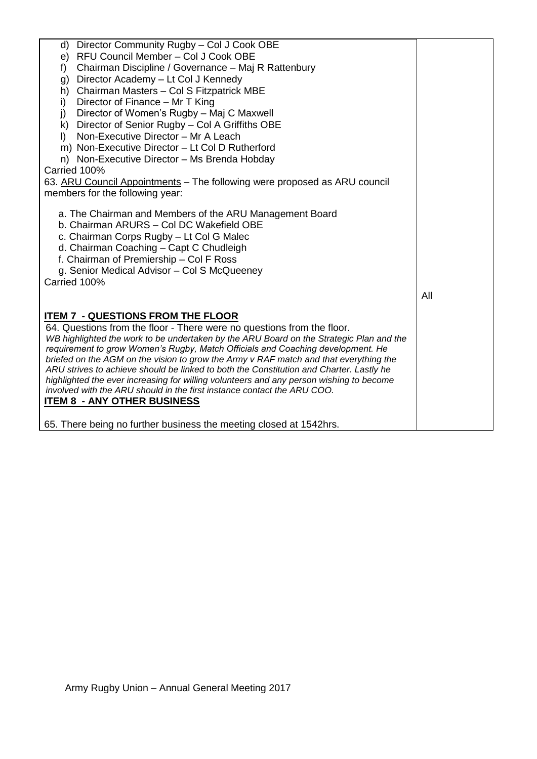| d) Director Community Rugby - Col J Cook OBE                                            |     |
|-----------------------------------------------------------------------------------------|-----|
| e) RFU Council Member - Col J Cook OBE                                                  |     |
| Chairman Discipline / Governance - Maj R Rattenbury<br>f)                               |     |
| Director Academy - Lt Col J Kennedy<br>g)                                               |     |
| Chairman Masters - Col S Fitzpatrick MBE<br>h)                                          |     |
| Director of Finance - Mr T King<br>i)                                                   |     |
| Director of Women's Rugby - Maj C Maxwell<br>j)                                         |     |
| k) Director of Senior Rugby - Col A Griffiths OBE                                       |     |
| Non-Executive Director - Mr A Leach<br>$\mathbf{D}$                                     |     |
| m) Non-Executive Director - Lt Col D Rutherford                                         |     |
| n) Non-Executive Director - Ms Brenda Hobday                                            |     |
| Carried 100%                                                                            |     |
| 63. ARU Council Appointments - The following were proposed as ARU council               |     |
| members for the following year:                                                         |     |
|                                                                                         |     |
| a. The Chairman and Members of the ARU Management Board                                 |     |
| b. Chairman ARURS - Col DC Wakefield OBE                                                |     |
| c. Chairman Corps Rugby - Lt Col G Malec                                                |     |
| d. Chairman Coaching - Capt C Chudleigh                                                 |     |
| f. Chairman of Premiership - Col F Ross                                                 |     |
| g. Senior Medical Advisor - Col S McQueeney                                             |     |
| Carried 100%                                                                            |     |
|                                                                                         | All |
|                                                                                         |     |
| <b>ITEM 7 - QUESTIONS FROM THE FLOOR</b>                                                |     |
| 64. Questions from the floor - There were no questions from the floor.                  |     |
| WB highlighted the work to be undertaken by the ARU Board on the Strategic Plan and the |     |
| requirement to grow Women's Rugby, Match Officials and Coaching development. He         |     |
| briefed on the AGM on the vision to grow the Army v RAF match and that everything the   |     |
| ARU strives to achieve should be linked to both the Constitution and Charter. Lastly he |     |
| highlighted the ever increasing for willing volunteers and any person wishing to become |     |
| involved with the ARU should in the first instance contact the ARU COO.                 |     |
| <u><b>ITEM 8 - ANY OTHER BUSINESS</b></u>                                               |     |
| 65. There being no further business the meeting closed at 1542hrs.                      |     |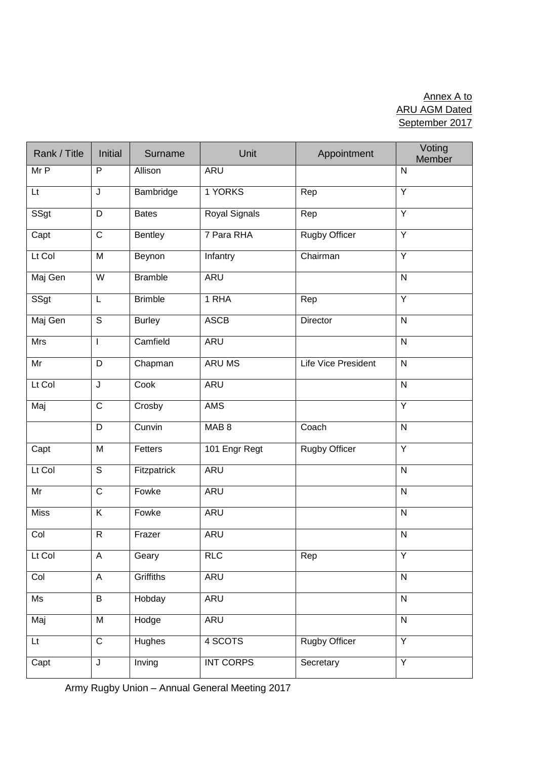# Annex A to ARU AGM Dated September 2017

| Rank / Title            | <b>Initial</b>          | Surname        | Unit             | Appointment                | Voting<br>Member        |
|-------------------------|-------------------------|----------------|------------------|----------------------------|-------------------------|
| Mr P                    | P                       | Allison        | <b>ARU</b>       |                            | $\mathsf{N}$            |
| Lt                      | J                       | Bambridge      | 1 YORKS          | Rep                        | Υ                       |
| SSgt                    | D                       | <b>Bates</b>   | Royal Signals    | Rep                        | $\overline{Y}$          |
| Capt                    | $\mathsf C$             | <b>Bentley</b> | 7 Para RHA       | Rugby Officer              | Y                       |
| Lt Col                  | M                       | Beynon         | Infantry         | Chairman                   | $\overline{Y}$          |
| Maj Gen                 | W                       | <b>Bramble</b> | ARU              |                            | $\overline{N}$          |
| SSgt                    | L                       | <b>Brimble</b> | 1 RHA            | Rep                        | Ÿ                       |
| Maj Gen                 | $\overline{\mathsf{s}}$ | <b>Burley</b>  | <b>ASCB</b>      | Director                   | $\overline{N}$          |
| Mrs                     | $\mathbf{I}$            | Camfield       | <b>ARU</b>       |                            | $\overline{N}$          |
| Mr                      | D                       | Chapman        | ARU MS           | <b>Life Vice President</b> | $\mathsf{N}$            |
| Lt Col                  | J                       | Cook           | <b>ARU</b>       |                            | $\overline{N}$          |
| Maj                     | $\overline{C}$          | Crosby         | <b>AMS</b>       |                            | Y                       |
|                         | D                       | Cunvin         | MAB <sub>8</sub> | Coach                      | $\mathsf{N}$            |
| Capt                    | M                       | Fetters        | 101 Engr Regt    | Rugby Officer              | Y                       |
| Lt Col                  | $\overline{\mathsf{s}}$ | Fitzpatrick    | <b>ARU</b>       |                            | $\overline{\mathsf{N}}$ |
| Mr                      | $\mathsf C$             | Fowke          | <b>ARU</b>       |                            | $\mathsf{N}$            |
| <b>Miss</b>             | Κ                       | Fowke          | <b>ARU</b>       |                            | $\mathsf{N}$            |
| Col                     | ${\sf R}$               | Frazer         | <b>ARU</b>       |                            | ${\sf N}$               |
| Lt Col                  | $\mathsf A$             | Geary          | <b>RLC</b>       | Rep                        | Y                       |
| Col                     | $\mathsf A$             | Griffiths      | <b>ARU</b>       |                            | $\overline{\mathsf{N}}$ |
| Ms                      | $\sf B$                 | Hobday         | <b>ARU</b>       |                            | ${\sf N}$               |
| Maj                     | M                       | Hodge          | ARU              |                            | ${\sf N}$               |
| $\mathsf{L} \mathsf{t}$ | $\overline{C}$          | Hughes         | 4 SCOTS          | <b>Rugby Officer</b>       | $\overline{Y}$          |
| Capt                    | J                       | Inving         | <b>INT CORPS</b> | Secretary                  | $\overline{Y}$          |